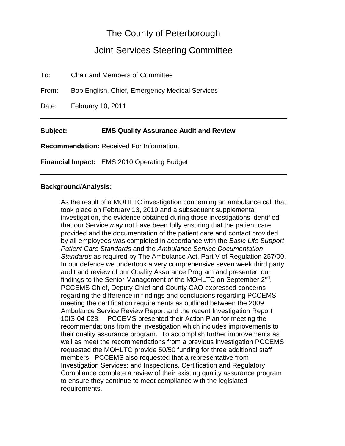## The County of Peterborough

## Joint Services Steering Committee

To: Chair and Members of Committee From: Bob English, Chief, Emergency Medical Services Date: February 10, 2011 **Subject: EMS Quality Assurance Audit and Review**

**Recommendation:** Received For Information.

**Financial Impact:** EMS 2010 Operating Budget

## **Background/Analysis:**

As the result of a MOHLTC investigation concerning an ambulance call that took place on February 13, 2010 and a subsequent supplemental investigation, the evidence obtained during those investigations identified that our Service *may* not have been fully ensuring that the patient care provided and the documentation of the patient care and contact provided by all employees was completed in accordance with the *Basic Life Support Patient Care Standards* and the *Ambulance Service Documentation Standards* as required by The Ambulance Act, Part V of Regulation 257/00. In our defence we undertook a very comprehensive seven week third party audit and review of our Quality Assurance Program and presented our findings to the Senior Management of the MOHLTC on September  $2^{nd}$ . PCCEMS Chief, Deputy Chief and County CAO expressed concerns regarding the difference in findings and conclusions regarding PCCEMS meeting the certification requirements as outlined between the 2009 Ambulance Service Review Report and the recent Investigation Report 10IS-04-028. PCCEMS presented their Action Plan for meeting the recommendations from the investigation which includes improvements to their quality assurance program. To accomplish further improvements as well as meet the recommendations from a previous investigation PCCEMS requested the MOHLTC provide 50/50 funding for three additional staff members. PCCEMS also requested that a representative from Investigation Services; and Inspections, Certification and Regulatory Compliance complete a review of their existing quality assurance program to ensure they continue to meet compliance with the legislated requirements.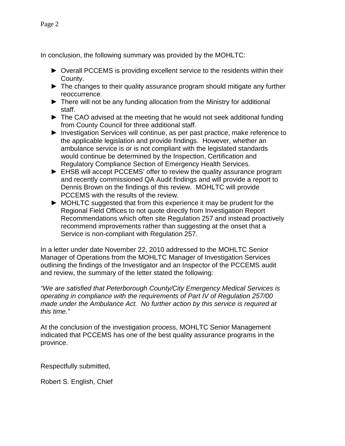In conclusion, the following summary was provided by the MOHLTC:

- ► Overall PCCEMS is providing excellent service to the residents within their County.
- ► The changes to their quality assurance program should mitigate any further reoccurrence.
- ► There will not be any funding allocation from the Ministry for additional staff.
- ► The CAO advised at the meeting that he would not seek additional funding from County Council for three additional staff.
- ► Investigation Services will continue, as per past practice, make reference to the applicable legislation and provide findings. However, whether an ambulance service is or is not compliant with the legislated standards would continue be determined by the Inspection, Certification and Regulatory Compliance Section of Emergency Health Services.
- ► EHSB will accept PCCEMS' offer to review the quality assurance program and recently commissioned QA Audit findings and will provide a report to Dennis Brown on the findings of this review. MOHLTC will provide PCCEMS with the results of the review.
- ► MOHLTC suggested that from this experience it may be prudent for the Regional Field Offices to not quote directly from Investigation Report Recommendations which often site Regulation 257 and instead proactively recommend improvements rather than suggesting at the onset that a Service is non-compliant with Regulation 257.

In a letter under date November 22, 2010 addressed to the MOHLTC Senior Manager of Operations from the MOHLTC Manager of Investigation Services outlining the findings of the Investigator and an Inspector of the PCCEMS audit and review, the summary of the letter stated the following:

*"We are satisfied that Peterborough County/City Emergency Medical Services is operating in compliance with the requirements of Part IV of Regulation 257/00 made under the Ambulance Act. No further action by this service is required at this time."*

At the conclusion of the investigation process, MOHLTC Senior Management indicated that PCCEMS has one of the best quality assurance programs in the province.

Respectfully submitted,

Robert S. English, Chief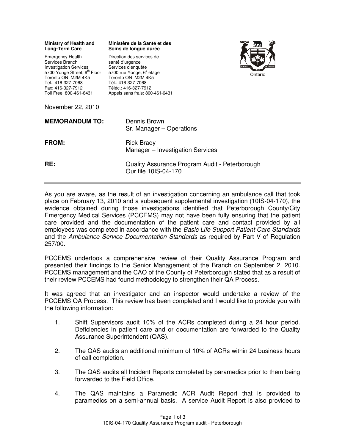| <b>Ministry of Health and</b><br><b>Long-Term Care</b>                                                                                                                                                  | Ministère de la Santé et des<br>Soins de longue durée                                                                                                                                                                        |  |
|---------------------------------------------------------------------------------------------------------------------------------------------------------------------------------------------------------|------------------------------------------------------------------------------------------------------------------------------------------------------------------------------------------------------------------------------|--|
| <b>Emergency Health</b><br>Services Branch<br><b>Investigation Services</b><br>5700 Yonge Street, 6th Floor<br>Toronto ON M2M 4K5<br>Tel.: 416-327-7068<br>Fax: 416-327-7912<br>Toll Free: 800-461-6431 | Direction des services de<br>santé d'urgence<br>Services d'enquête<br>5700 rue Yonge, 6 <sup>e</sup> étage<br>Ontario<br>Toronto ON M2M 4K5<br>Tél.: 416-327-7068<br>Téléc.: 416-327-7912<br>Appels sans frais: 800-461-6431 |  |
| November 22, 2010                                                                                                                                                                                       |                                                                                                                                                                                                                              |  |
| <b>MEMORANDUM TO:</b>                                                                                                                                                                                   | Dennis Brown<br>Sr. Manager – Operations                                                                                                                                                                                     |  |
| <b>FROM:</b>                                                                                                                                                                                            | <b>Rick Brady</b><br>Manager - Investigation Services                                                                                                                                                                        |  |
| RE:                                                                                                                                                                                                     | Quality Assurance Program Audit - Peterborough<br>Our file 10IS-04-170                                                                                                                                                       |  |

As you are aware, as the result of an investigation concerning an ambulance call that took place on February 13, 2010 and a subsequent supplemental investigation (10IS-04-170), the evidence obtained during those investigations identified that Peterborough County/City Emergency Medical Services (PCCEMS) may not have been fully ensuring that the patient care provided and the documentation of the patient care and contact provided by all employees was completed in accordance with the Basic Life Support Patient Care Standards and the Ambulance Service Documentation Standards as required by Part V of Regulation 257/00.

PCCEMS undertook a comprehensive review of their Quality Assurance Program and presented their findings to the Senior Management of the Branch on September 2, 2010. PCCEMS management and the CAO of the County of Peterborough stated that as a result of their review PCCEMS had found methodology to strengthen their QA Process.

It was agreed that an investigator and an inspector would undertake a review of the PCCEMS QA Process. This review has been completed and I would like to provide you with the following information:

- 1. Shift Supervisors audit 10% of the ACRs completed during a 24 hour period. Deficiencies in patient care and or documentation are forwarded to the Quality Assurance Superintendent (QAS).
- 2. The QAS audits an additional minimum of 10% of ACRs within 24 business hours of call completion.
- 3. The QAS audits all Incident Reports completed by paramedics prior to them being forwarded to the Field Office.
- 4. The QAS maintains a Paramedic ACR Audit Report that is provided to paramedics on a semi-annual basis. A service Audit Report is also provided to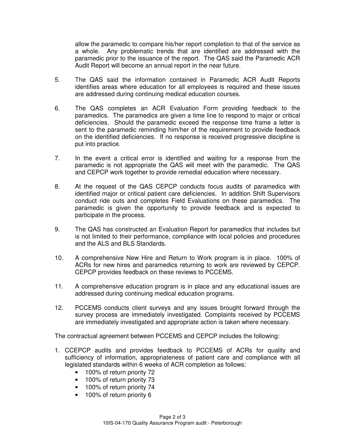allow the paramedic to compare his/her report completion to that of the service as a whole. Any problematic trends that are identified are addressed with the paramedic prior to the issuance of the report. The QAS said the Paramedic ACR Audit Report will become an annual report in the near future.

- 5. The QAS said the information contained in Paramedic ACR Audit Reports identifies areas where education for all employees is required and these issues are addressed during continuing medical education courses.
- 6. The QAS completes an ACR Evaluation Form providing feedback to the paramedics. The paramedics are given a time line to respond to major or critical deficiencies. Should the paramedic exceed the response time frame a letter is sent to the paramedic reminding him/her of the requirement to provide feedback on the identified deficiencies. If no response is received progressive discipline is put into practice.
- 7. In the event a critical error is identified and waiting for a response from the paramedic is not appropriate the QAS will meet with the paramedic. The QAS and CEPCP work together to provide remedial education where necessary.
- 8. At the request of the QAS CEPCP conducts focus audits of paramedics with identified major or critical patient care deficiencies. In addition Shift Supervisors conduct ride outs and completes Field Evaluations on these paramedics. The paramedic is given the opportunity to provide feedback and is expected to participate in the process.
- 9. The QAS has constructed an Evaluation Report for paramedics that includes but is not limited to their performance, compliance with local policies and procedures and the ALS and BLS Standards.
- 10. A comprehensive New Hire and Return to Work program is in place. 100% of ACRs for new hires and paramedics returning to work are reviewed by CEPCP. CEPCP provides feedback on these reviews to PCCEMS.
- 11. A comprehensive education program is in place and any educational issues are addressed during continuing medical education programs.
- 12. PCCEMS conducts client surveys and any issues brought forward through the survey process are immediately investigated. Complaints received by PCCEMS are immediately investigated and appropriate action is taken where necessary.

The contractual agreement between PCCEMS and CEPCP includes the following:

- 1. CCEPCP audits and provides feedback to PCCEMS of ACRs for quality and sufficiency of information, appropriateness of patient care and compliance with all legislated standards within 6 weeks of ACR completion as follows:
	- 100% of return priority 72
	- 100% of return priority 73
	- 100% of return priority 74
	- 100% of return priority 6